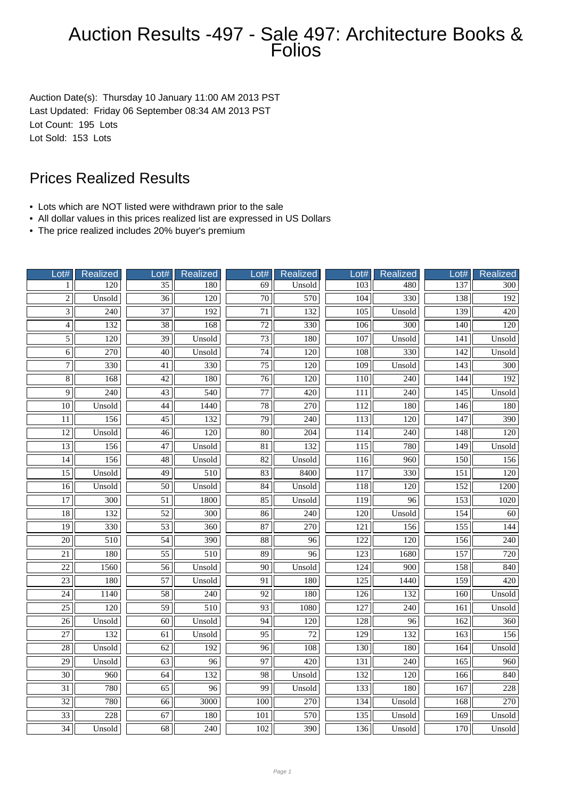## Auction Results -497 - Sale 497: Architecture Books & Folios

Auction Date(s): Thursday 10 January 11:00 AM 2013 PST Last Updated: Friday 06 September 08:34 AM 2013 PST Lot Count: 195 Lots Lot Sold: 153 Lots

## Prices Realized Results

- Lots which are NOT listed were withdrawn prior to the sale
- All dollar values in this prices realized list are expressed in US Dollars
- The price realized includes 20% buyer's premium

| Lot#            | <b>Realized</b>  | Lot#            | <b>Realized</b> | Lot#            | <b>Realized</b>  | _ot#             | <b>Realized</b>  | Lot#             | <b>Realized</b>  |
|-----------------|------------------|-----------------|-----------------|-----------------|------------------|------------------|------------------|------------------|------------------|
| 1               | 120              | $\overline{35}$ | 180             | 69              | Unsold           | 103              | 480              | 137              | 300              |
| $\overline{c}$  | Unsold           | 36              | 120             | 70              | 570              | 104              | 330              | 138              | 192              |
| $\overline{3}$  | 240              | $\overline{37}$ | 192             | $\overline{71}$ | 132              | 105              | Unsold           | 139              | 420              |
| $\overline{4}$  | $\overline{132}$ | $\overline{38}$ | 168             | $\overline{72}$ | $\overline{330}$ | $\overline{106}$ | $\overline{300}$ | 140              | 120              |
| $\overline{5}$  | 120              | $\overline{39}$ | Unsold          | $\overline{73}$ | 180              | 107              | Unsold           | 141              | Unsold           |
| 6               | 270              | 40              | Unsold          | 74              | 120              | 108              | 330              | 142              | Unsold           |
| $\overline{7}$  | 330              | 41              | 330             | 75              | 120              | 109              | Unsold           | 143              | 300              |
| $\overline{8}$  | 168              | $\overline{42}$ | 180             | $\overline{76}$ | 120              | 110              | 240              | 144              | 192              |
| 9               | 240              | $\overline{43}$ | 540             | $\overline{77}$ | 420              | 111              | 240              | 145              | Unsold           |
| 10              | Unsold           | 44              | 1440            | 78              | 270              | 112              | 180              | 146              | 180              |
| 11              | 156              | $\overline{45}$ | 132             | 79              | 240              | 113              | 120              | 147              | 390              |
| $\overline{12}$ | Unsold           | $\overline{46}$ | 120             | $\overline{80}$ | 204              | 114              | 240              | 148              | 120              |
| $\overline{13}$ | 156              | 47              | Unsold          | 81              | 132              | 115              | 780              | 149              | Unsold           |
| $\overline{14}$ | 156              | $\overline{48}$ | Unsold          | $\overline{82}$ | Unsold           | 116              | $\frac{960}{ }$  | $\overline{150}$ | 156              |
| $\overline{15}$ | Unsold           | 49              | 510             | 83              | 8400             | 117              | 330              | 151              | 120              |
| $\overline{16}$ | Unsold           | $\overline{50}$ | Unsold          | 84              | Unsold           | 118              | 120              | 152              | 1200             |
| $\overline{17}$ | 300              | 51              | 1800            | 85              | Unsold           | 119              | 96               | 153              | 1020             |
| 18              | 132              | 52              | 300             | 86              | 240              | 120              | Unsold           | 154              | 60               |
| $\overline{19}$ | 330              | 53              | 360             | $\overline{87}$ | $\overline{270}$ | 121              | 156              | 155              | 144              |
| $\overline{20}$ | 510              | $\overline{54}$ | 390             | $\overline{88}$ | 96               | $\overline{122}$ | $\overline{120}$ | 156              | $\overline{240}$ |
| $\overline{21}$ | 180              | $\overline{55}$ | 510             | 89              | $\overline{96}$  | $\overline{123}$ | 1680             | 157              | $\overline{720}$ |
| $\overline{22}$ | 1560             | 56              | Unsold          | 90              | Unsold           | 124              | 900              | 158              | 840              |
| 23              | 180              | 57              | Unsold          | 91              | 180              | 125              | 1440             | 159              | 420              |
| $\overline{24}$ | 1140             | $\overline{58}$ | 240             | $\overline{92}$ | 180              | 126              | 132              | 160              | Unsold           |
| $\overline{25}$ | 120              | $\overline{59}$ | 510             | $\overline{93}$ | 1080             | $\overline{127}$ | $\overline{240}$ | 161              | Unsold           |
| $\overline{26}$ | Unsold           | 60              | Unsold          | $\overline{94}$ | $\overline{120}$ | 128              | 96               | 162              | $\overline{360}$ |
| $\overline{27}$ | 132              | 61              | Unsold          | 95              | $\overline{72}$  | 129              | 132              | 163              | 156              |
| 28              | Unsold           | 62              | 192             | $\overline{96}$ | 108              | 130              | 180              | 164              | Unsold           |
| 29              | Unsold           | 63              | $\overline{96}$ | $\overline{97}$ | 420              | 131              | 240              | 165              | 960              |
| $\overline{30}$ | 960              | $\overline{64}$ | 132             | $\overline{98}$ | Unsold           | $\overline{132}$ | $\overline{120}$ | 166              | 840              |
| $\overline{31}$ | 780              | $\overline{65}$ | $\overline{96}$ | 99              | Unsold           | 133              | 180              | 167              | $\overline{228}$ |
| $\overline{32}$ | 780              | 66              | 3000            | 100             | 270              | 134              | Unsold           | 168              | 270              |
| 33              | 228              | 67              | 180             | 101             | 570              | 135              | Unsold           | 169              | Unsold           |
| $\overline{34}$ | Unsold           | 68              | 240             | 102             | 390              | 136              | Unsold           | 170              | Unsold           |